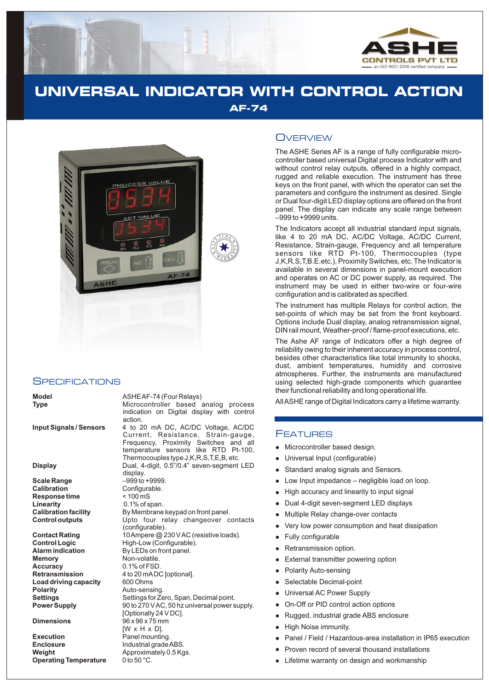

# **UNIVERSAL INDICATOR WITH CONTROL ACTION AF-74**



#### **SPECIFICATIONS**

**Scale Range**  $-9996$  to +9999.<br> **Calibration** Configurable. **Response time Linearity** 0.1% of span.<br> **Calibration facility** By Membrane

**Memory** Non-volatile. **Accuracy** 0.1% of FSD. **Load driving capacity Polarity Auto-sensing.** 

**Execution**<br> **Enclosure**<br> **Enclosure Enclosure Industrial grade Weight** Approximately 0.5 Kgs.<br> **Operating Temperature** 0 to 50 °C. **Operating Temperature** 

**Model** ASHE AF-74 (Four Relays)

**Type** Microcontroller based analog process indication on Digital display with control action.

**Input Signals / Sensors** 4 to 20 mA DC, AC/DC Voltage, AC/DC Current, Resistance, Strain-gauge, Frequency, Proximity Switches and all temperature sensors like RTD Pt-100, Thermocouples type J,K,R,S,T,E,B, etc. **Display** Dual, 4-digit, 0.5"/0.4" seven-segment LED display. Configurable.<br>< 100 mS By Membrane keypad on front panel. **Control outputs** Upto four relay changeover contacts (configurable). **Contact Rating** 10 Ampere @ 230 V AC (resistive loads).<br> **Control Logic** High-Low (Configurable). **Control Logic** High-Low (Configurable).<br>**Alarm indication** By LEDs on front panel. **By LEDs on front panel. Retransmission** 4 to 20 mADC [optional].<br>**Load driving capacity** 600 Ohms **Settings** Settings for Zero, Span, Decimal point. **Power Supply** 90 to 270 V AC, 50 hz universal power supply. [Optionally 24 V DC]. **Dimensions** 96 x 96 x 75 mm [W x H x D]. **Enclosure** Industrial grade ABS.

### **OVERVIEW**

The ASHE Series AF is a range of fully configurable microcontroller based universal Digital process Indicator with and without control relay outputs, offered in a highly compact, rugged and reliable execution. The instrument has three keys on the front panel, with which the operator can set the parameters and configure the instrument as desired. Single or Dual four-digit LED display options are offered on the front panel. The display can indicate any scale range between –999 to +9999 units.

The Indicators accept all industrial standard input signals, like 4 to 20 mA DC, AC/DC Voltage, AC/DC Current, Resistance, Strain-gauge, Frequency and all temperature sensors like RTD Pt-100, Thermocouples (type J,K,R,S,T,B.E.etc.), Proximity Switches, etc. The Indicator is available in several dimensions in panel-mount execution and operates on AC or DC power supply, as required. The instrument may be used in either two-wire or four-wire configuration and is calibrated as specified.

The instrument has multiple Relays for control action, the set-points of which may be set from the front keyboard. Options include Dual display, analog retransmission signal, DIN rail mount, Weather-proof / flame-proof executions, etc.

The Ashe AF range of Indicators offer a high degree of reliability owing to their inherent accuracy in process control, besides other characteristics like total immunity to shocks, dust, ambient temperatures, humidity and corrosive atmospheres. Further, the instruments are manufactured using selected high-grade components which guarantee their functional reliability and long operational life.

All ASHE range of Digital Indicators carry a lifetime warranty.

#### FEATURES

- Microcontroller based design.
- Universal Input (configurable)
- Microsom University<br>• University<br>• High Dual Multi<br>• Very Fully<br>• External Sele<br>• University<br>• Rugg High Pance<br>• Proversity<br>• Proversity Standard analog signals and Sensors.
- Low Input impedance negligible load on loop.
- High accuracy and linearity to input signal
- Dual 4-digit seven-segment LED displays
- Multiple Relay change-over contacts
- Very low power consumption and heat dissipation
- Fully configurable  $\bullet$
- Retransmission option.
- External transmitter powering option  $\bullet$
- Polarity Auto-sensing
- Selectable Decimal-point
- Universal AC Power Supply
- On-Off or PID control action options
- Rugged, industrial grade ABS enclosure
- High Noise immunity.  $\bullet$
- Panel / Field / Hazardous-area installation in IP65 execution
- Proven record of several thousand installations
- Lifetime warranty on design and workmanship